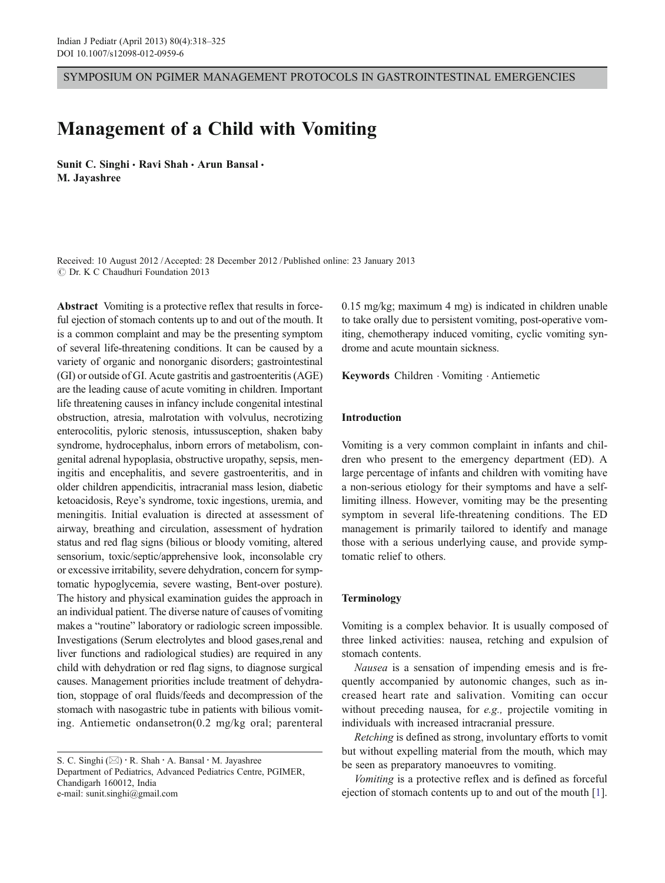SYMPOSIUM ON PGIMER MANAGEMENT PROTOCOLS IN GASTROINTESTINAL EMERGENCIES

# Management of a Child with Vomiting

Sunit C. Singhi · Ravi Shah · Arun Bansal · M. Jayashree

Received: 10 August 2012 /Accepted: 28 December 2012 / Published online: 23 January 2013  $\odot$  Dr. K C Chaudhuri Foundation 2013

Abstract Vomiting is a protective reflex that results in forceful ejection of stomach contents up to and out of the mouth. It is a common complaint and may be the presenting symptom of several life-threatening conditions. It can be caused by a variety of organic and nonorganic disorders; gastrointestinal (GI) or outside of GI. Acute gastritis and gastroenteritis (AGE) are the leading cause of acute vomiting in children. Important life threatening causes in infancy include congenital intestinal obstruction, atresia, malrotation with volvulus, necrotizing enterocolitis, pyloric stenosis, intussusception, shaken baby syndrome, hydrocephalus, inborn errors of metabolism, congenital adrenal hypoplasia, obstructive uropathy, sepsis, meningitis and encephalitis, and severe gastroenteritis, and in older children appendicitis, intracranial mass lesion, diabetic ketoacidosis, Reye's syndrome, toxic ingestions, uremia, and meningitis. Initial evaluation is directed at assessment of airway, breathing and circulation, assessment of hydration status and red flag signs (bilious or bloody vomiting, altered sensorium, toxic/septic/apprehensive look, inconsolable cry or excessive irritability, severe dehydration, concern for symptomatic hypoglycemia, severe wasting, Bent-over posture). The history and physical examination guides the approach in an individual patient. The diverse nature of causes of vomiting makes a "routine" laboratory or radiologic screen impossible. Investigations (Serum electrolytes and blood gases,renal and liver functions and radiological studies) are required in any child with dehydration or red flag signs, to diagnose surgical causes. Management priorities include treatment of dehydration, stoppage of oral fluids/feeds and decompression of the stomach with nasogastric tube in patients with bilious vomiting. Antiemetic ondansetron(0.2 mg/kg oral; parenteral

0.15 mg/kg; maximum 4 mg) is indicated in children unable to take orally due to persistent vomiting, post-operative vomiting, chemotherapy induced vomiting, cyclic vomiting syndrome and acute mountain sickness.

Keywords Children . Vomiting . Antiemetic

## Introduction

Vomiting is a very common complaint in infants and children who present to the emergency department (ED). A large percentage of infants and children with vomiting have a non-serious etiology for their symptoms and have a selflimiting illness. However, vomiting may be the presenting symptom in several life-threatening conditions. The ED management is primarily tailored to identify and manage those with a serious underlying cause, and provide symptomatic relief to others.

# Terminology

Vomiting is a complex behavior. It is usually composed of three linked activities: nausea, retching and expulsion of stomach contents.

Nausea is a sensation of impending emesis and is frequently accompanied by autonomic changes, such as increased heart rate and salivation. Vomiting can occur without preceding nausea, for e.g., projectile vomiting in individuals with increased intracranial pressure.

Retching is defined as strong, involuntary efforts to vomit but without expelling material from the mouth, which may be seen as preparatory manoeuvres to vomiting.

Vomiting is a protective reflex and is defined as forceful ejection of stomach contents up to and out of the mouth [[1\]](#page-6-0).

S. C. Singhi  $(\boxtimes) \cdot R$ . Shah  $\cdot$  A. Bansal  $\cdot$  M. Jayashree Department of Pediatrics, Advanced Pediatrics Centre, PGIMER, Chandigarh 160012, India e-mail: sunit.singhi@gmail.com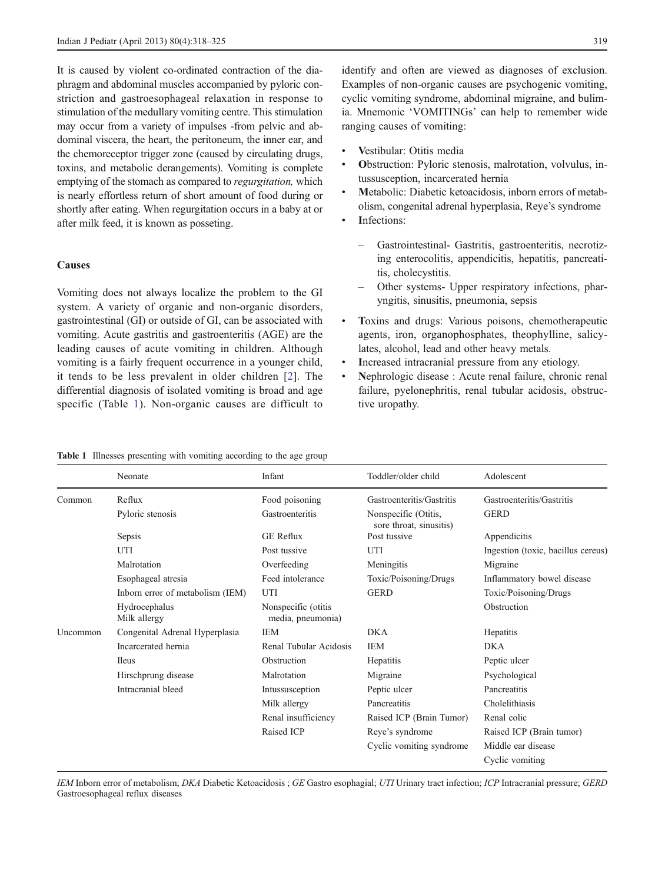<span id="page-1-0"></span>It is caused by violent co-ordinated contraction of the diaphragm and abdominal muscles accompanied by pyloric constriction and gastroesophageal relaxation in response to stimulation of the medullary vomiting centre. This stimulation may occur from a variety of impulses -from pelvic and abdominal viscera, the heart, the peritoneum, the inner ear, and the chemoreceptor trigger zone (caused by circulating drugs, toxins, and metabolic derangements). Vomiting is complete emptying of the stomach as compared to regurgitation, which is nearly effortless return of short amount of food during or shortly after eating. When regurgitation occurs in a baby at or after milk feed, it is known as posseting.

# **Causes**

Vomiting does not always localize the problem to the GI system. A variety of organic and non-organic disorders, gastrointestinal (GI) or outside of GI, can be associated with vomiting. Acute gastritis and gastroenteritis (AGE) are the leading causes of acute vomiting in children. Although vomiting is a fairly frequent occurrence in a younger child, it tends to be less prevalent in older children [[2\]](#page-6-0). The differential diagnosis of isolated vomiting is broad and age specific (Table 1). Non-organic causes are difficult to identify and often are viewed as diagnoses of exclusion. Examples of non-organic causes are psychogenic vomiting, cyclic vomiting syndrome, abdominal migraine, and bulimia. Mnemonic 'VOMITINGs' can help to remember wide ranging causes of vomiting:

- Vestibular: Otitis media
- Obstruction: Pyloric stenosis, malrotation, volvulus, intussusception, incarcerated hernia
- Metabolic: Diabetic ketoacidosis, inborn errors of metabolism, congenital adrenal hyperplasia, Reye's syndrome
- Infections:
	- Gastrointestinal- Gastritis, gastroenteritis, necrotizing enterocolitis, appendicitis, hepatitis, pancreatitis, cholecystitis.
	- Other systems- Upper respiratory infections, pharyngitis, sinusitis, pneumonia, sepsis
- Toxins and drugs: Various poisons, chemotherapeutic agents, iron, organophosphates, theophylline, salicylates, alcohol, lead and other heavy metals.
- & Increased intracranial pressure from any etiology.
- & Nephrologic disease : Acute renal failure, chronic renal failure, pyelonephritis, renal tubular acidosis, obstructive uropathy.

Table 1 Illnesses presenting with vomiting according to the age group

|                 | Neonate                          | Infant                                    | Toddler/older child                             | Adolescent                         |
|-----------------|----------------------------------|-------------------------------------------|-------------------------------------------------|------------------------------------|
| Common          | Reflux                           | Food poisoning                            | Gastroenteritis/Gastritis                       | Gastroenteritis/Gastritis          |
|                 | Pyloric stenosis                 | Gastroenteritis                           | Nonspecific (Otitis,<br>sore throat, sinusitis) | <b>GERD</b>                        |
|                 | Sepsis                           | <b>GE</b> Reflux                          | Post tussive                                    | Appendicitis                       |
|                 | UTI                              | Post tussive                              | UTI                                             | Ingestion (toxic, bacillus cereus) |
|                 | Malrotation                      | Overfeeding                               | Meningitis                                      | Migraine                           |
|                 | Esophageal atresia               | Feed intolerance                          | Toxic/Poisoning/Drugs                           | Inflammatory bowel disease         |
|                 | Inborn error of metabolism (IEM) | UTI                                       | <b>GERD</b>                                     | Toxic/Poisoning/Drugs              |
|                 | Hydrocephalus<br>Milk allergy    | Nonspecific (otitis)<br>media, pneumonia) |                                                 | Obstruction                        |
| <b>Uncommon</b> | Congenital Adrenal Hyperplasia   | <b>IEM</b>                                | <b>DKA</b>                                      | Hepatitis                          |
|                 | Incarcerated hernia              | Renal Tubular Acidosis                    | <b>IEM</b>                                      | DKA                                |
|                 | <b>Ileus</b>                     | Obstruction                               | Hepatitis                                       | Peptic ulcer                       |
|                 | Hirschprung disease              | Malrotation                               | Migraine                                        | Psychological                      |
|                 | Intracranial bleed               | Intussusception                           | Peptic ulcer                                    | Pancreatitis                       |
|                 |                                  | Milk allergy                              | Pancreatitis                                    | Cholelithiasis                     |
|                 |                                  | Renal insufficiency                       | Raised ICP (Brain Tumor)                        | Renal colic                        |
|                 |                                  | Raised ICP                                | Reye's syndrome                                 | Raised ICP (Brain tumor)           |
|                 |                                  |                                           | Cyclic vomiting syndrome                        | Middle ear disease                 |
|                 |                                  |                                           |                                                 | Cyclic vomiting                    |

IEM Inborn error of metabolism; DKA Diabetic Ketoacidosis; GE Gastro esophagial; UTI Urinary tract infection; ICP Intracranial pressure; GERD Gastroesophageal reflux diseases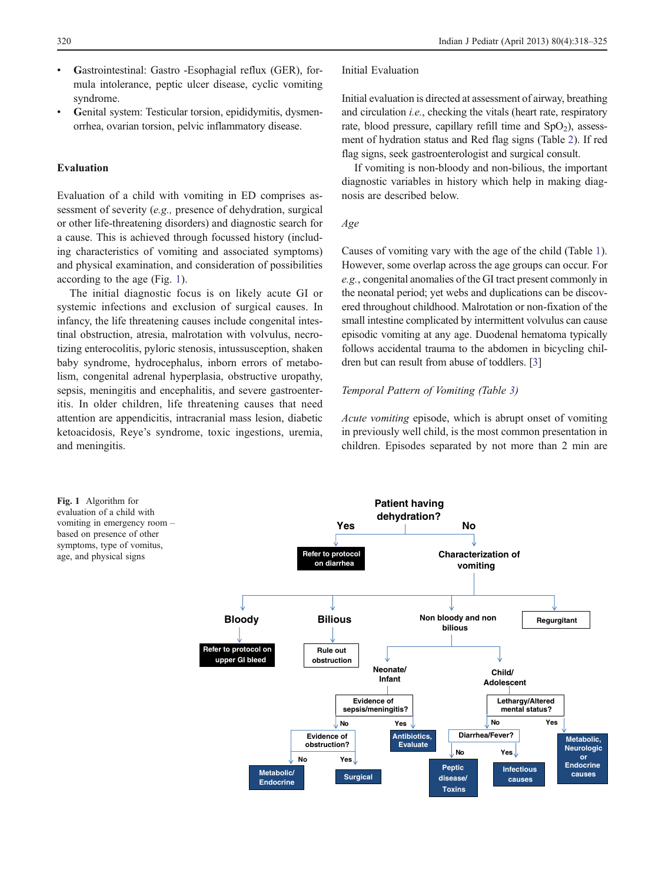- Gastrointestinal: Gastro -Esophagial reflux (GER), formula intolerance, peptic ulcer disease, cyclic vomiting syndrome.
- & Genital system: Testicular torsion, epididymitis, dysmenorrhea, ovarian torsion, pelvic inflammatory disease.

## Evaluation

Evaluation of a child with vomiting in ED comprises assessment of severity (e.g., presence of dehydration, surgical or other life-threatening disorders) and diagnostic search for a cause. This is achieved through focussed history (including characteristics of vomiting and associated symptoms) and physical examination, and consideration of possibilities according to the age (Fig. 1).

The initial diagnostic focus is on likely acute GI or systemic infections and exclusion of surgical causes. In infancy, the life threatening causes include congenital intestinal obstruction, atresia, malrotation with volvulus, necrotizing enterocolitis, pyloric stenosis, intussusception, shaken baby syndrome, hydrocephalus, inborn errors of metabolism, congenital adrenal hyperplasia, obstructive uropathy, sepsis, meningitis and encephalitis, and severe gastroenteritis. In older children, life threatening causes that need attention are appendicitis, intracranial mass lesion, diabetic ketoacidosis, Reye's syndrome, toxic ingestions, uremia, and meningitis.

#### Initial Evaluation

Initial evaluation is directed at assessment of airway, breathing and circulation *i.e.*, checking the vitals (heart rate, respiratory rate, blood pressure, capillary refill time and  $SpO<sub>2</sub>$ ), assessment of hydration status and Red flag signs (Table [2\)](#page-3-0). If red flag signs, seek gastroenterologist and surgical consult.

If vomiting is non-bloody and non-bilious, the important diagnostic variables in history which help in making diagnosis are described below.

#### Age

Causes of vomiting vary with the age of the child (Table [1\)](#page-1-0). However, some overlap across the age groups can occur. For e.g., congenital anomalies of the GI tract present commonly in the neonatal period; yet webs and duplications can be discovered throughout childhood. Malrotation or non-fixation of the small intestine complicated by intermittent volvulus can cause episodic vomiting at any age. Duodenal hematoma typically follows accidental trauma to the abdomen in bicycling children but can result from abuse of toddlers. [\[3](#page-6-0)]

## Temporal Pattern of Vomiting (Table [3](#page-3-0))

Acute vomiting episode, which is abrupt onset of vomiting in previously well child, is the most common presentation in children. Episodes separated by not more than 2 min are

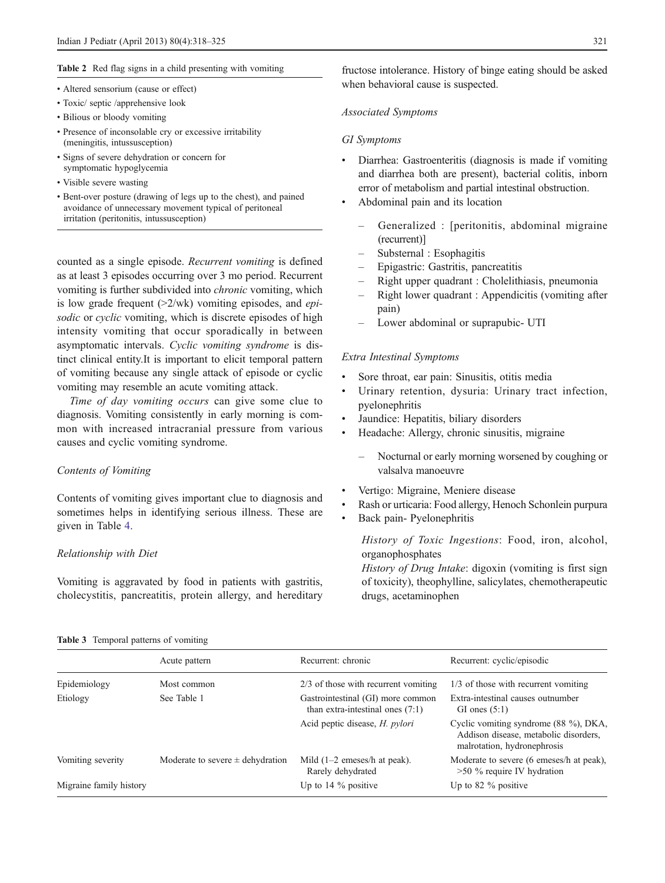## <span id="page-3-0"></span>Table 2 Red flag signs in a child presenting with vomiting

- Altered sensorium (cause or effect)
- Toxic/ septic /apprehensive look
- Bilious or bloody vomiting
- Presence of inconsolable cry or excessive irritability (meningitis, intussusception)
- Signs of severe dehydration or concern for symptomatic hypoglycemia
- Visible severe wasting
- Bent-over posture (drawing of legs up to the chest), and pained avoidance of unnecessary movement typical of peritoneal irritation (peritonitis, intussusception)

counted as a single episode. Recurrent vomiting is defined as at least 3 episodes occurring over 3 mo period. Recurrent vomiting is further subdivided into chronic vomiting, which is low grade frequent  $(>2$ /wk) vomiting episodes, and *epi*sodic or cyclic vomiting, which is discrete episodes of high intensity vomiting that occur sporadically in between asymptomatic intervals. Cyclic vomiting syndrome is distinct clinical entity.It is important to elicit temporal pattern of vomiting because any single attack of episode or cyclic vomiting may resemble an acute vomiting attack.

Time of day vomiting occurs can give some clue to diagnosis. Vomiting consistently in early morning is common with increased intracranial pressure from various causes and cyclic vomiting syndrome.

## Contents of Vomiting

Contents of vomiting gives important clue to diagnosis and sometimes helps in identifying serious illness. These are given in Table [4.](#page-4-0)

# Relationship with Diet

Vomiting is aggravated by food in patients with gastritis, cholecystitis, pancreatitis, protein allergy, and hereditary fructose intolerance. History of binge eating should be asked when behavioral cause is suspected.

#### Associated Symptoms

#### GI Symptoms

- Diarrhea: Gastroenteritis (diagnosis is made if vomiting and diarrhea both are present), bacterial colitis, inborn error of metabolism and partial intestinal obstruction.
- & Abdominal pain and its location
	- Generalized : [peritonitis, abdominal migraine (recurrent)]
	- Substernal : Esophagitis
	- Epigastric: Gastritis, pancreatitis
	- Right upper quadrant : Cholelithiasis, pneumonia
	- Right lower quadrant : Appendicitis (vomiting after pain)
	- Lower abdominal or suprapubic- UTI

### Extra Intestinal Symptoms

- & Sore throat, ear pain: Sinusitis, otitis media
- Urinary retention, dysuria: Urinary tract infection, pyelonephritis
- Jaundice: Hepatitis, biliary disorders
- Headache: Allergy, chronic sinusitis, migraine
	- Nocturnal or early morning worsened by coughing or valsalva manoeuvre
- Vertigo: Migraine, Meniere disease
- & Rash or urticaria: Food allergy, Henoch Schonlein purpura
- Back pain- Pyelonephritis

History of Toxic Ingestions: Food, iron, alcohol, organophosphates

History of Drug Intake: digoxin (vomiting is first sign of toxicity), theophylline, salicylates, chemotherapeutic drugs, acetaminophen

| Table 3 Temporal patterns of vomiting |  |  |  |  |  |
|---------------------------------------|--|--|--|--|--|
|---------------------------------------|--|--|--|--|--|

|                         | Acute pattern                        | Recurrent: chronic                                                      | Recurrent: cyclic/episodic                                                                                    |
|-------------------------|--------------------------------------|-------------------------------------------------------------------------|---------------------------------------------------------------------------------------------------------------|
| Epidemiology            | Most common                          | 2/3 of those with recurrent vomiting                                    | 1/3 of those with recurrent vomiting                                                                          |
| Etiology                | See Table 1                          | Gastrointestinal (GI) more common<br>than extra-intestinal ones $(7:1)$ | Extra-intestinal causes outnumber<br>GI ones $(5:1)$                                                          |
|                         |                                      | Acid peptic disease, <i>H. pylori</i>                                   | Cyclic vomiting syndrome (88 %), DKA,<br>Addison disease, metabolic disorders,<br>malrotation, hydronephrosis |
| Vomiting severity       | Moderate to severe $\pm$ dehydration | Mild $(1-2$ emeses/h at peak).<br>Rarely dehydrated                     | Moderate to severe (6 emeses/h at peak),<br>$>50\%$ require IV hydration                                      |
| Migraine family history |                                      | Up to $14\%$ positive                                                   | Up to 82 $\%$ positive                                                                                        |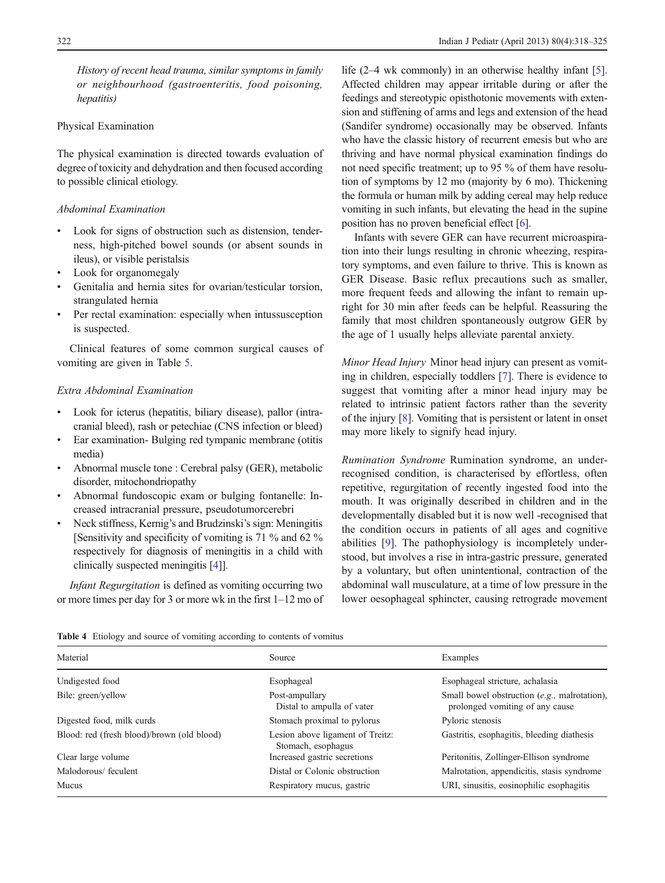<span id="page-4-0"></span>History of recent head trauma, similar symptoms in family or neighbourhood (gastroenteritis, food poisoning, hepatitis)

# Physical Examination

The physical examination is directed towards evaluation of degree of toxicity and dehydration and then focused according to possible clinical etiology.

## Abdominal Examination

- & Look for signs of obstruction such as distension, tenderness, high-pitched bowel sounds (or absent sounds in ileus), or visible peristalsis
- Look for organomegaly
- Genitalia and hernia sites for ovarian/testicular torsion, strangulated hernia
- Per rectal examination: especially when intussusception is suspected.

Clinical features of some common surgical causes of vomiting are given in Table [5](#page-5-0).

# Extra Abdominal Examination

- Look for icterus (hepatitis, biliary disease), pallor (intracranial bleed), rash or petechiae (CNS infection or bleed)
- Ear examination- Bulging red tympanic membrane (otitis media)
- & Abnormal muscle tone : Cerebral palsy (GER), metabolic disorder, mitochondriopathy
- & Abnormal fundoscopic exam or bulging fontanelle: Increased intracranial pressure, pseudotumorcerebri
- Neck stiffness, Kernig's and Brudzinski's sign: Meningitis [Sensitivity and specificity of vomiting is 71 % and 62 % respectively for diagnosis of meningitis in a child with clinically suspected meningitis [\[4\]](#page-6-0)].

Infant Regurgitation is defined as vomiting occurring two or more times per day for 3 or more wk in the first 1–12 mo of

life (2–4 wk commonly) in an otherwise healthy infant [[5\]](#page-6-0). Affected children may appear irritable during or after the feedings and stereotypic opisthotonic movements with extension and stiffening of arms and legs and extension of the head (Sandifer syndrome) occasionally may be observed. Infants who have the classic history of recurrent emesis but who are thriving and have normal physical examination findings do not need specific treatment; up to 95 % of them have resolution of symptoms by 12 mo (majority by 6 mo). Thickening the formula or human milk by adding cereal may help reduce vomiting in such infants, but elevating the head in the supine position has no proven beneficial effect [[6](#page-7-0)].

Infants with severe GER can have recurrent microaspiration into their lungs resulting in chronic wheezing, respiratory symptoms, and even failure to thrive. This is known as GER Disease. Basic reflux precautions such as smaller, more frequent feeds and allowing the infant to remain upright for 30 min after feeds can be helpful. Reassuring the family that most children spontaneously outgrow GER by the age of 1 usually helps alleviate parental anxiety.

Minor Head Injury Minor head injury can present as vomiting in children, especially toddlers [[7\]](#page-7-0). There is evidence to suggest that vomiting after a minor head injury may be related to intrinsic patient factors rather than the severity of the injury [\[8](#page-7-0)]. Vomiting that is persistent or latent in onset may more likely to signify head injury.

Rumination Syndrome Rumination syndrome, an underrecognised condition, is characterised by effortless, often repetitive, regurgitation of recently ingested food into the mouth. It was originally described in children and in the developmentally disabled but it is now well -recognised that the condition occurs in patients of all ages and cognitive abilities [\[9](#page-7-0)]. The pathophysiology is incompletely understood, but involves a rise in intra-gastric pressure, generated by a voluntary, but often unintentional, contraction of the abdominal wall musculature, at a time of low pressure in the lower oesophageal sphincter, causing retrograde movement

Table 4 Etiology and source of vomiting according to contents of vomitus

| Material                                   | Source                                                 | Examples                                                                        |
|--------------------------------------------|--------------------------------------------------------|---------------------------------------------------------------------------------|
| Undigested food                            | Esophageal                                             | Esophageal stricture, achalasia                                                 |
| Bile: green/yellow                         | Post-ampullary<br>Distal to ampulla of vater           | Small bowel obstruction (e.g., malrotation),<br>prolonged vomiting of any cause |
| Digested food, milk curds                  | Stomach proximal to pylorus                            | Pyloric stenosis                                                                |
| Blood: red (fresh blood)/brown (old blood) | Lesion above ligament of Treitz:<br>Stomach, esophagus | Gastritis, esophagitis, bleeding diathesis                                      |
| Clear large volume                         | Increased gastric secretions                           | Peritonitis, Zollinger-Ellison syndrome                                         |
| Malodorous/feculent                        | Distal or Colonic obstruction                          | Malrotation, appendicitis, stasis syndrome                                      |
| Mucus                                      | Respiratory mucus, gastric                             | URI, sinusitis, eosinophilic esophagitis                                        |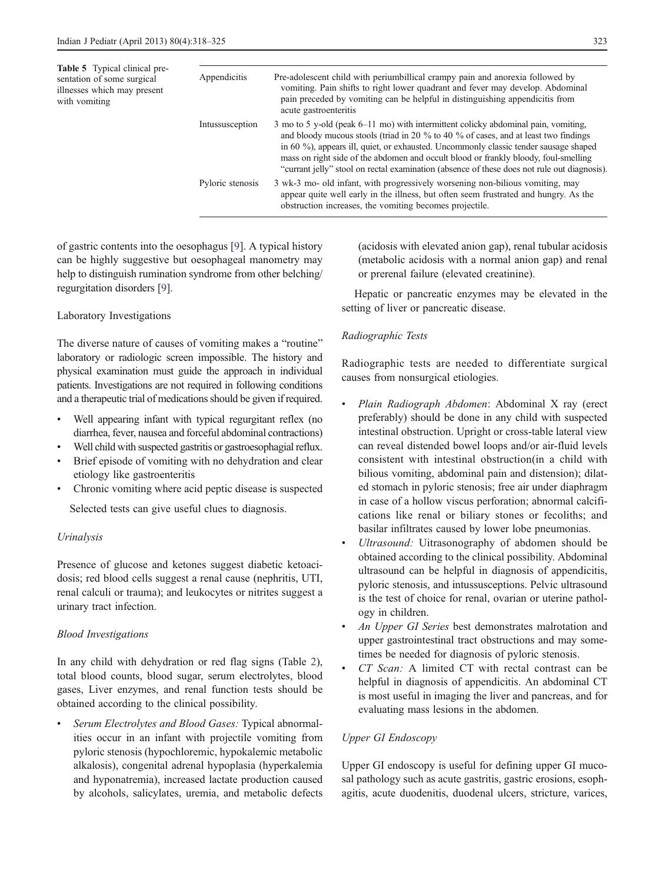<span id="page-5-0"></span>Table 5 Typical clinical presentation of some surgical illnesses which may present with vomiting

| Appendicitis     | Pre-adolescent child with periumbillical crampy pain and anorexia followed by<br>vomiting. Pain shifts to right lower quadrant and fever may develop. Abdominal<br>pain preceded by vomiting can be helpful in distinguishing appendicitis from<br>acute gastroenteritis                                                                                                                                                                                |
|------------------|---------------------------------------------------------------------------------------------------------------------------------------------------------------------------------------------------------------------------------------------------------------------------------------------------------------------------------------------------------------------------------------------------------------------------------------------------------|
| Intussusception  | 3 mo to 5 y-old (peak 6–11 mo) with intermittent colicky abdominal pain, vomiting,<br>and bloody mucous stools (triad in 20 % to 40 % of cases, and at least two findings<br>in 60 %), appears ill, quiet, or exhausted. Uncommonly classic tender sausage shaped<br>mass on right side of the abdomen and occult blood or frankly bloody, foul-smelling<br>"currant jelly" stool on rectal examination (absence of these does not rule out diagnosis). |
| Pyloric stenosis | 3 wk-3 mo- old infant, with progressively worsening non-bilious vomiting, may<br>appear quite well early in the illness, but often seem frustrated and hungry. As the<br>obstruction increases, the vomiting becomes projectile.                                                                                                                                                                                                                        |

of gastric contents into the oesophagus [[9\]](#page-7-0). A typical history can be highly suggestive but oesophageal manometry may help to distinguish rumination syndrome from other belching/ regurgitation disorders [\[9](#page-7-0)].

# Laboratory Investigations

The diverse nature of causes of vomiting makes a "routine" laboratory or radiologic screen impossible. The history and physical examination must guide the approach in individual patients. Investigations are not required in following conditions and a therapeutic trial of medications should be given if required.

- Well appearing infant with typical regurgitant reflex (no diarrhea, fever, nausea and forceful abdominal contractions)
- Well child with suspected gastritis or gastroesophagial reflux.
- Brief episode of vomiting with no dehydration and clear etiology like gastroenteritis
- & Chronic vomiting where acid peptic disease is suspected

Selected tests can give useful clues to diagnosis.

# Urinalysis

Presence of glucose and ketones suggest diabetic ketoacidosis; red blood cells suggest a renal cause (nephritis, UTI, renal calculi or trauma); and leukocytes or nitrites suggest a urinary tract infection.

# Blood Investigations

In any child with dehydration or red flag signs (Table [2](#page-3-0)), total blood counts, blood sugar, serum electrolytes, blood gases, Liver enzymes, and renal function tests should be obtained according to the clinical possibility.

Serum Electrolytes and Blood Gases: Typical abnormalities occur in an infant with projectile vomiting from pyloric stenosis (hypochloremic, hypokalemic metabolic alkalosis), congenital adrenal hypoplasia (hyperkalemia and hyponatremia), increased lactate production caused by alcohols, salicylates, uremia, and metabolic defects (acidosis with elevated anion gap), renal tubular acidosis (metabolic acidosis with a normal anion gap) and renal or prerenal failure (elevated creatinine).

Hepatic or pancreatic enzymes may be elevated in the setting of liver or pancreatic disease.

# Radiographic Tests

Radiographic tests are needed to differentiate surgical causes from nonsurgical etiologies.

- Plain Radiograph Abdomen: Abdominal X ray (erect preferably) should be done in any child with suspected intestinal obstruction. Upright or cross-table lateral view can reveal distended bowel loops and/or air-fluid levels consistent with intestinal obstruction(in a child with bilious vomiting, abdominal pain and distension); dilated stomach in pyloric stenosis; free air under diaphragm in case of a hollow viscus perforation; abnormal calcifications like renal or biliary stones or fecoliths; and basilar infiltrates caused by lower lobe pneumonias.
- Ultrasound: Uitrasonography of abdomen should be obtained according to the clinical possibility. Abdominal ultrasound can be helpful in diagnosis of appendicitis, pyloric stenosis, and intussusceptions. Pelvic ultrasound is the test of choice for renal, ovarian or uterine pathology in children.
- An Upper GI Series best demonstrates malrotation and upper gastrointestinal tract obstructions and may sometimes be needed for diagnosis of pyloric stenosis.
- CT Scan: A limited CT with rectal contrast can be helpful in diagnosis of appendicitis. An abdominal CT is most useful in imaging the liver and pancreas, and for evaluating mass lesions in the abdomen.

# Upper GI Endoscopy

Upper GI endoscopy is useful for defining upper GI mucosal pathology such as acute gastritis, gastric erosions, esophagitis, acute duodenitis, duodenal ulcers, stricture, varices,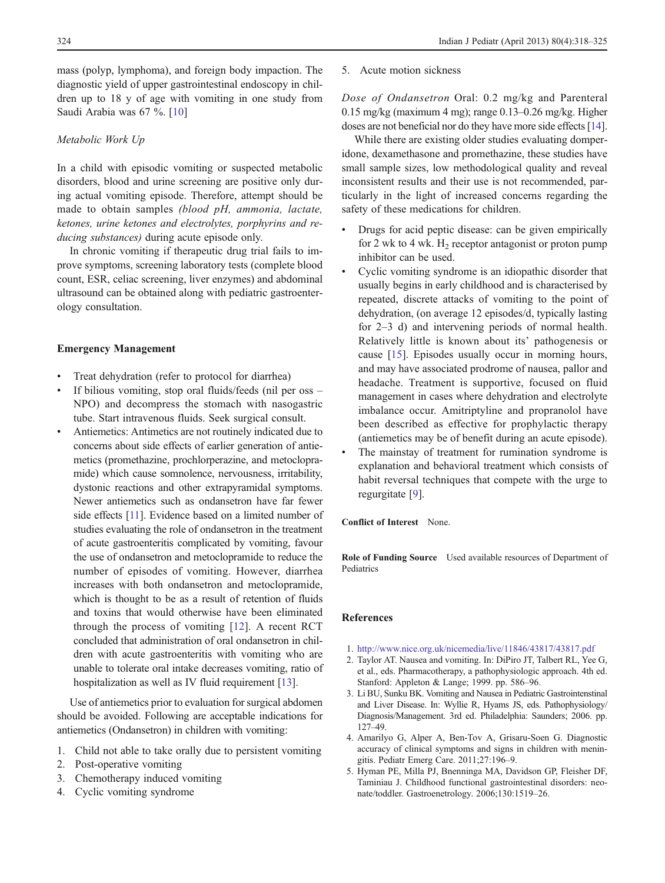<span id="page-6-0"></span>mass (polyp, lymphoma), and foreign body impaction. The diagnostic yield of upper gastrointestinal endoscopy in children up to 18 y of age with vomiting in one study from Saudi Arabia was 67 %. [[10\]](#page-7-0)

#### Metabolic Work Up

In a child with episodic vomiting or suspected metabolic disorders, blood and urine screening are positive only during actual vomiting episode. Therefore, attempt should be made to obtain samples (blood pH, ammonia, lactate, ketones, urine ketones and electrolytes, porphyrins and reducing substances) during acute episode only.

In chronic vomiting if therapeutic drug trial fails to improve symptoms, screening laboratory tests (complete blood count, ESR, celiac screening, liver enzymes) and abdominal ultrasound can be obtained along with pediatric gastroenterology consultation.

## Emergency Management

- Treat dehydration (refer to protocol for diarrhea)
- If bilious vomiting, stop oral fluids/feeds (nil per oss NPO) and decompress the stomach with nasogastric tube. Start intravenous fluids. Seek surgical consult.
- Antiemetics: Antimetics are not routinely indicated due to concerns about side effects of earlier generation of antiemetics (promethazine, prochlorperazine, and metoclopramide) which cause somnolence, nervousness, irritability, dystonic reactions and other extrapyramidal symptoms. Newer antiemetics such as ondansetron have far fewer side effects [[11](#page-7-0)]. Evidence based on a limited number of studies evaluating the role of ondansetron in the treatment of acute gastroenteritis complicated by vomiting, favour the use of ondansetron and metoclopramide to reduce the number of episodes of vomiting. However, diarrhea increases with both ondansetron and metoclopramide, which is thought to be as a result of retention of fluids and toxins that would otherwise have been eliminated through the process of vomiting [[12](#page-7-0)]. A recent RCT concluded that administration of oral ondansetron in children with acute gastroenteritis with vomiting who are unable to tolerate oral intake decreases vomiting, ratio of hospitalization as well as IV fluid requirement [[13\]](#page-7-0).

Use of antiemetics prior to evaluation for surgical abdomen should be avoided. Following are acceptable indications for antiemetics (Ondansetron) in children with vomiting:

- 1. Child not able to take orally due to persistent vomiting
- 2. Post-operative vomiting
- 3. Chemotherapy induced vomiting
- 4. Cyclic vomiting syndrome

5. Acute motion sickness

Dose of Ondansetron Oral: 0.2 mg/kg and Parenteral 0.15 mg/kg (maximum 4 mg); range 0.13–0.26 mg/kg. Higher doses are not beneficial nor do they have more side effects [\[14\]](#page-7-0).

While there are existing older studies evaluating domperidone, dexamethasone and promethazine, these studies have small sample sizes, low methodological quality and reveal inconsistent results and their use is not recommended, particularly in the light of increased concerns regarding the safety of these medications for children.

- Drugs for acid peptic disease: can be given empirically for 2 wk to 4 wk.  $H_2$  receptor antagonist or proton pump inhibitor can be used.
- & Cyclic vomiting syndrome is an idiopathic disorder that usually begins in early childhood and is characterised by repeated, discrete attacks of vomiting to the point of dehydration, (on average 12 episodes/d, typically lasting for 2–3 d) and intervening periods of normal health. Relatively little is known about its' pathogenesis or cause [\[15](#page-7-0)]. Episodes usually occur in morning hours, and may have associated prodrome of nausea, pallor and headache. Treatment is supportive, focused on fluid management in cases where dehydration and electrolyte imbalance occur. Amitriptyline and propranolol have been described as effective for prophylactic therapy (antiemetics may be of benefit during an acute episode).
- The mainstay of treatment for rumination syndrome is explanation and behavioral treatment which consists of habit reversal techniques that compete with the urge to regurgitate [[9\]](#page-7-0).

## Conflict of Interest None.

Role of Funding Source Used available resources of Department of Pediatrics

# References

- 1. <http://www.nice.org.uk/nicemedia/live/11846/43817/43817.pdf>
- 2. Taylor AT. Nausea and vomiting. In: DiPiro JT, Talbert RL, Yee G, et al., eds. Pharmacotherapy, a pathophysiologic approach. 4th ed. Stanford: Appleton & Lange; 1999. pp. 586–96.
- 3. Li BU, Sunku BK. Vomiting and Nausea in Pediatric Gastrointenstinal and Liver Disease. In: Wyllie R, Hyams JS, eds. Pathophysiology/ Diagnosis/Management. 3rd ed. Philadelphia: Saunders; 2006. pp. 127–49.
- 4. Amarilyo G, Alper A, Ben-Tov A, Grisaru-Soen G. Diagnostic accuracy of clinical symptoms and signs in children with meningitis. Pediatr Emerg Care. 2011;27:196–9.
- 5. Hyman PE, Milla PJ, Bnenninga MA, Davidson GP, Fleisher DF, Taminiau J. Childhood functional gastrointestinal disorders: neonate/toddler. Gastroenetrology. 2006;130:1519–26.